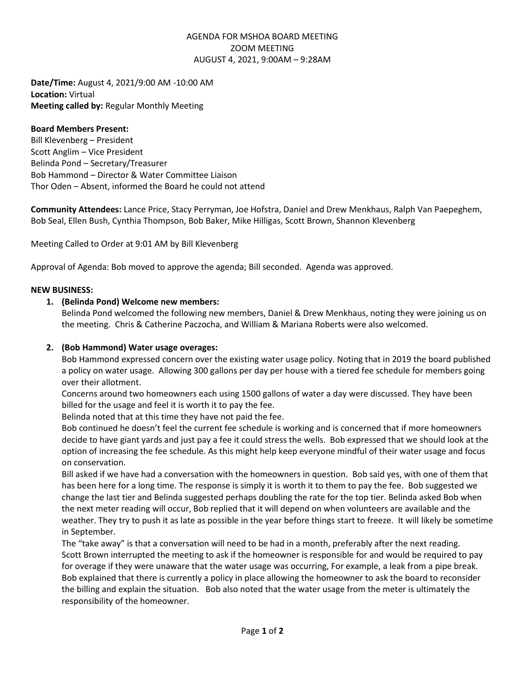# AGENDA FOR MSHOA BOARD MEETING ZOOM MEETING AUGUST 4, 2021, 9:00AM – 9:28AM

**Date/Time:** August 4, 2021/9:00 AM -10:00 AM **Location:** Virtual **Meeting called by:** Regular Monthly Meeting

## **Board Members Present:**

Bill Klevenberg – President Scott Anglim – Vice President Belinda Pond – Secretary/Treasurer Bob Hammond – Director & Water Committee Liaison Thor Oden – Absent, informed the Board he could not attend

**Community Attendees:** Lance Price, Stacy Perryman, Joe Hofstra, Daniel and Drew Menkhaus, Ralph Van Paepeghem, Bob Seal, Ellen Bush, Cynthia Thompson, Bob Baker, Mike Hilligas, Scott Brown, Shannon Klevenberg

Meeting Called to Order at 9:01 AM by Bill Klevenberg

Approval of Agenda: Bob moved to approve the agenda; Bill seconded. Agenda was approved.

## **NEW BUSINESS:**

## **1. (Belinda Pond) Welcome new members:**

Belinda Pond welcomed the following new members, Daniel & Drew Menkhaus, noting they were joining us on the meeting. Chris & Catherine Paczocha, and William & Mariana Roberts were also welcomed.

# **2. (Bob Hammond) Water usage overages:**

Bob Hammond expressed concern over the existing water usage policy. Noting that in 2019 the board published a policy on water usage. Allowing 300 gallons per day per house with a tiered fee schedule for members going over their allotment.

Concerns around two homeowners each using 1500 gallons of water a day were discussed. They have been billed for the usage and feel it is worth it to pay the fee.

Belinda noted that at this time they have not paid the fee.

Bob continued he doesn't feel the current fee schedule is working and is concerned that if more homeowners decide to have giant yards and just pay a fee it could stress the wells. Bob expressed that we should look at the option of increasing the fee schedule. As this might help keep everyone mindful of their water usage and focus on conservation.

Bill asked if we have had a conversation with the homeowners in question. Bob said yes, with one of them that has been here for a long time. The response is simply it is worth it to them to pay the fee. Bob suggested we change the last tier and Belinda suggested perhaps doubling the rate for the top tier. Belinda asked Bob when the next meter reading will occur, Bob replied that it will depend on when volunteers are available and the weather. They try to push it as late as possible in the year before things start to freeze. It will likely be sometime in September.

The "take away" is that a conversation will need to be had in a month, preferably after the next reading. Scott Brown interrupted the meeting to ask if the homeowner is responsible for and would be required to pay for overage if they were unaware that the water usage was occurring, For example, a leak from a pipe break. Bob explained that there is currently a policy in place allowing the homeowner to ask the board to reconsider the billing and explain the situation. Bob also noted that the water usage from the meter is ultimately the responsibility of the homeowner.